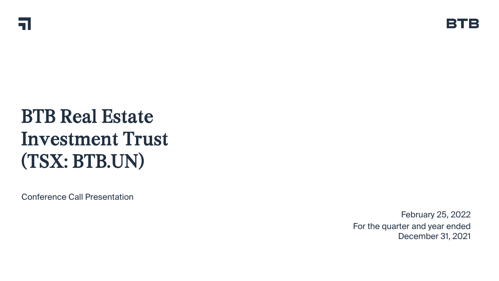# BTB Real Estate Investment Trust (TSX: BTB.UN)

Conference Call Presentation

February 25, 2022 For the quarter and year ended December 31, 2021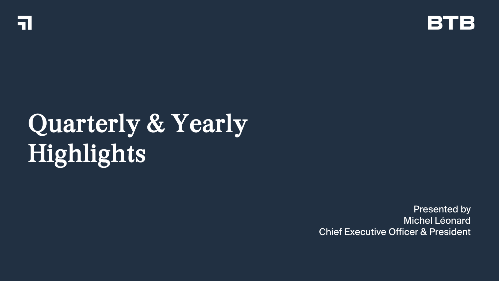



# Quarterly & Yearly Highlights

Presented by Michel Léonard Chief Executive Officer & President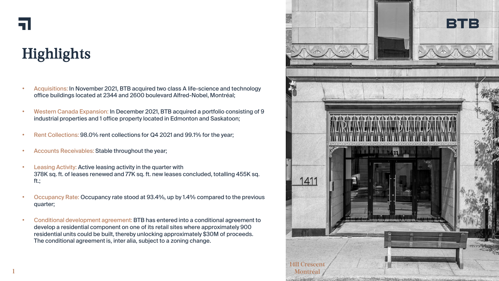

# **Highlights**

- Acquisitions: In November 2021, BTB acquired two class A life-science and technology office buildings located at 2344 and 2600 boulevard Alfred-Nobel, Montréal;
- Western Canada Expansion: In December 2021, BTB acquired a portfolio consisting of 9 industrial properties and 1 office property located in Edmonton and Saskatoon;
- Rent Collections: 98.0% rent collections for Q4 2021 and 99.1% for the year;
- Accounts Receivables: Stable throughout the year;
- Leasing Activity: Active leasing activity in the quarter with 378K sq. ft. of leases renewed and 77K sq. ft. new leases concluded, totalling 455K sq. ft.;
- Occupancy Rate: Occupancy rate stood at 93.4%, up by 1.4% compared to the previous quarter;
- Conditional development agreement: BTB has entered into a conditional agreement to develop a residential component on one of its retail sites where approximately 900 residential units could be built, thereby unlocking approximately \$30M of proceeds. The conditional agreement is, inter alia, subject to a zoning change.

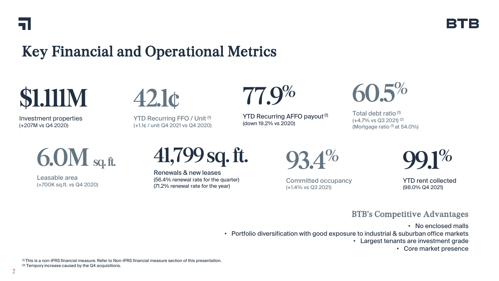

## Key Financial and Operational Metrics



Investment properties (+207M vs Q4 2020)



YTD Recurring FFO / Unit (1) (+1.1¢ / unit Q4 2021 vs Q4 2020)



YTD Recurring AFFO payout <sup>(1)</sup> (down 19.2% vs 2020)



Total debt ratio (1) (+4.7% vs Q3 2021) (2) (Mortgage ratio  $(1)$  at 54.0%)



Leasable area (+700K sq.ft. vs Q4 2020)

**41,799 sq. ft.**

Renewals & new leases (56.4% renewal rate for the quarter) (71.2% renewal rate for the year)

**93.4%**

Committed occupancy (+1.4% vs Q3 2021)

**99.1%**

YTD rent collected (98.0% Q4 2021)

#### BTB's Competitive Advantages

• No enclosed malls

• Portfolio diversification with good exposure to industrial & suburban office markets

• Largest tenants are investment grade

• Core market presence

(1) This is a non-IFRS financial measure. Refer to Non-IFRS financial measure section of this presentation. (2) Tempory increase caused by the Q4 acquisitions.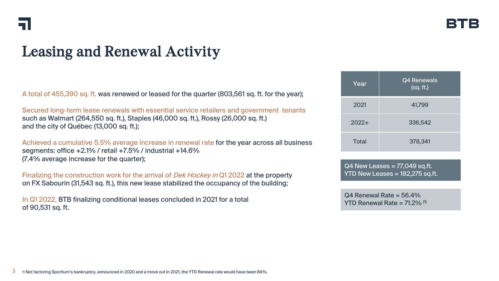## Leasing and Renewal Activity

A total of 455,390 sq. ft. was renewed or leased for the quarter (803,561 sq. ft. for the year);

Secured long-term lease renewals with essential service retailers and government tenants such as Walmart (264,550 sq. ft.), Staples (46,000 sq. ft.), Rossy (26,000 sq. ft.) and the city of Québec (13,000 sq. ft.);

Achieved a cumulative 5.5% average increase in renewal rate for the year across all business segments: office +2.1% / retail +7.5% / industrial +14.6% (7.4% average increase for the quarter);

Finalizing the construction work for the arrival of *Dek Hockey in* Q1 2022 at the property on FX Sabourin (31,543 sq. ft.), this new lease stabilized the occupancy of the building;

In Q1 2022, BTB finalizing conditional leases concluded in 2021 for a total of 90,531 sq. ft.

| Year         | Q4 Renewals<br>(sq. ft.) |  |
|--------------|--------------------------|--|
| 2021         | 41,799                   |  |
| $2022+$      | 336,542                  |  |
| <b>Total</b> | 378,341                  |  |

 $Q4$  New Leases =  $77,049$  sq.ft. YTD New Leases = 182,275 sq.ft.

Q4 Renewal Rate = 56.4% YTD Renewal Rate =  $71.2\%$ <sup>(1)</sup>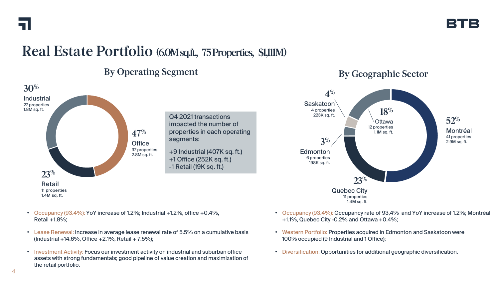#### **Real Estate Portfolio (6.0M sq.ft., 75 Properties, \$1,111M)**

#### **By Operating Segment**



- Occupancy (93.4%): YoY increase of 1.2%; Industrial +1.2%, office +0.4%, Retail +1.8%;
- Lease Renewal: Increase in average lease renewal rate of 5.5% on a cumulative basis (Industrial +14.6%, Office +2.1%, Retail + 7.5%);
- Investment Activity: Focus our investment activity on industrial and suburban office assets with strong fundamentals; good pipeline of value creation and maximization of the retail portfolio.

#### **By Geographic Sector**



- Occupancy (93.4%): Occupancy rate of 93,4% and YoY increase of 1.2%; Montréal +1.1%, Quebec City -0.2% and Ottawa +0.4%;
- Western Portfolio: Properties acquired in Edmonton and Saskatoon were 100% occupied (9 Industrial and 1 Office);
- Diversification: Opportunities for additional geographic diversification.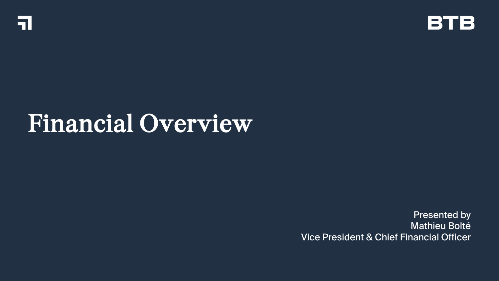



# Financial Overview

Presented by Mathieu Bolté Vice President & Chief Financial Officer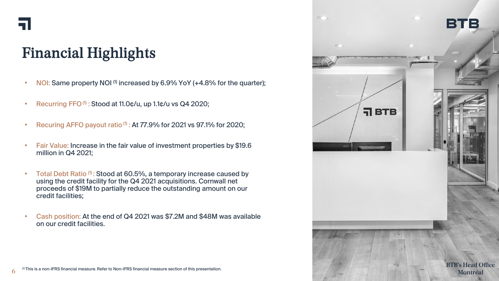

# Financial Highlights

- NOI: Same property NOI<sup>(1)</sup> increased by 6.9% YoY (+4.8% for the quarter);
- Recurring FFO $^{(1)}$ : Stood at 11.0 $\phi$ /u, up 1.1 $\phi$ /u vs Q4 2020;
- Recuring AFFO payout ratio  $(1)$ : At  $77.9%$  for 2021 vs 97.1% for 2020;
- Fair Value: Increase in the fair value of investment properties by \$19.6 million in Q4 2021;
- Total Debt Ratio (1): Stood at 60.5%, a temporary increase caused by using the credit facility for the Q4 2021 acquisitions. Cornwall net proceeds of \$19M to partially reduce the outstanding amount on our credit facilities;
- Cash position: At the end of Q4 2021 was \$7.2M and \$48M was available on our credit facilities.

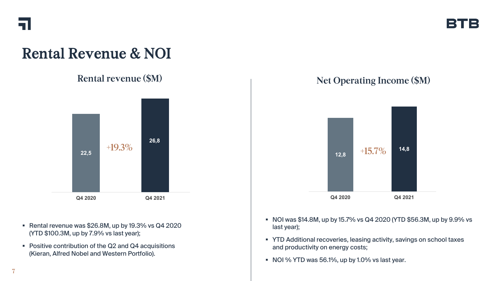![](_page_8_Picture_0.jpeg)

## Rental Revenue & NOI

![](_page_8_Figure_3.jpeg)

- Rental revenue was \$26.8M, up by 19.3% vs Q4 2020 (YTD \$100.3M, up by 7.9% vs last year);
- Positive contribution of the Q2 and Q4 acquisitions (Kieran, Alfred Nobel and Western Portfolio).

#### **Rental revenue (\$M) Net Operating Income (\$M)**

I 2 1 1 2

![](_page_8_Figure_7.jpeg)

- NOI was \$14.8M, up by 15.7% vs Q4 2020 (YTD \$56.3M, up by 9.9% vs last year);
- **YTD Additional recoveries, leasing activity, savings on school taxes** and productivity on energy costs;
- $\blacksquare$  NOI % YTD was 56.1%, up by 1.0% vs last year.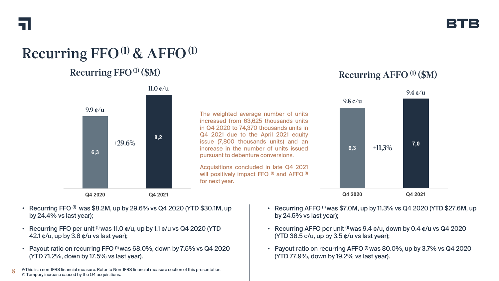# **Recurring FFO(1) & AFFO(1)**

#### **Recurring FFO(1) (\$M) Recurring AFFO (1) (\$M)**

![](_page_9_Figure_4.jpeg)

- Recurring FFO  $^{(1)}$  was \$8.2M, up by 29.6% vs Q4 2020 (YTD \$30.1M, up by 24.4% vs last year);
- Recurring FFO per unit  $(1)$  was 11.0  $\mathfrak{c}/\mathfrak{u}$ , up by 1.1  $\mathfrak{c}/\mathfrak{u}$  vs Q4 2020 (YTD 42.1 ¢/u, up by 3.8 ¢/u vs last year);
- Payout ratio on recurring FFO (1) was 68.0%, down by 7.5% vs Q4 2020 (YTD 71.2%, down by 17.5% vs last year).

(1) This is a non-IFRS financial measure. Refer to Non-IFRS financial measure section of this presentation. (2) Tempory increase caused by the Q4 acquisitions. **8**

- Recurring AFFO  $^{(1)}$  was \$7.0M, up by 11.3% vs Q4 2020 (YTD \$27.6M, up by 24.5% vs last year);
- Recurring AFFO per unit  $^{(1)}$  was 9.4  $\mathfrak{c}/\mathfrak{u}$ , down by 0.4  $\mathfrak{c}/\mathfrak{u}$  vs Q4 2020 (YTD 38.5 ¢/u, up by 3.5 ¢/u vs last year);
- Payout ratio on recurring AFFO (1) was 80.0%, up by 3.7% vs Q4 2020 (YTD 77.9%, down by 19.2% vs last year).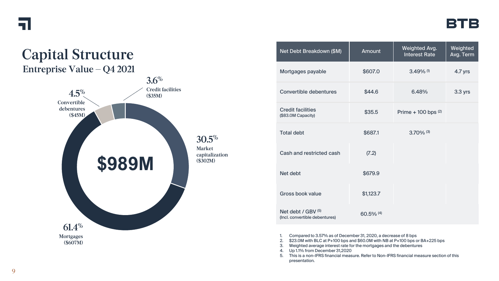![](_page_10_Picture_0.jpeg)

![](_page_10_Figure_2.jpeg)

| Net Debt Breakdown (\$M)                                 | <b>Amount</b> | Weighted Avg.<br><b>Interest Rate</b> | Weighted<br>Avg. Term |
|----------------------------------------------------------|---------------|---------------------------------------|-----------------------|
| Mortgages payable                                        | \$607.0       | $3.49\%$ <sup>(1)</sup>               | 4.7 yrs               |
| Convertible debentures                                   | \$44.6        | 6.48%                                 | 3.3 yrs               |
| <b>Credit facilities</b><br>(\$83.0M Capacity)           | \$35.5        | Prime + 100 bps $(2)$                 |                       |
| <b>Total debt</b>                                        | \$687.1       | $3.70\%$ (3)                          |                       |
| Cash and restricted cash                                 | (7.2)         |                                       |                       |
| Net debt                                                 | \$679.9       |                                       |                       |
| Gross book value                                         | \$1,123.7     |                                       |                       |
| Net debt / $GBV^{(5)}$<br>(Incl. convertible debentures) | $60.5\%$ (4)  |                                       |                       |

<sup>1.</sup> Compared to 3.57% as of December 31, 2020, a decrease of 8 bps

- Weighted average interest rate for the mortgages and the debentures
- 4. Up 1.1% from December 31,2020
- 5. This is a non-IFRS financial measure. Refer to Non-IFRS financial measure section of this presentation.

<sup>2. \$23.0</sup>M with BLC at P+100 bps and \$60.0M with NB at P+100 bps or BA+225 bps 3. Weighted average interest rate for the mortgages and the debentures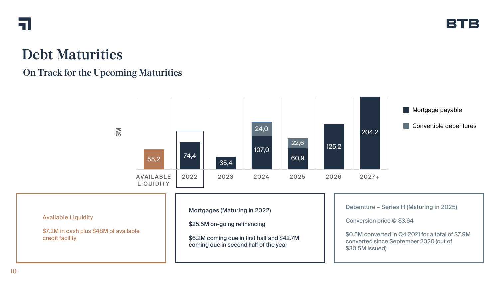![](_page_11_Picture_0.jpeg)

#### **Debt Maturities**

#### **On Track for the Upcoming Maturities**

![](_page_11_Figure_4.jpeg)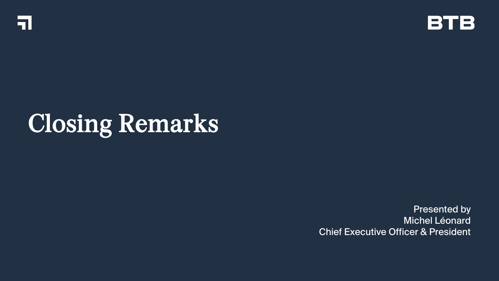![](_page_12_Picture_0.jpeg)

![](_page_12_Picture_1.jpeg)

# Closing Remarks

Presented by Michel Léonard Chief Executive Officer & President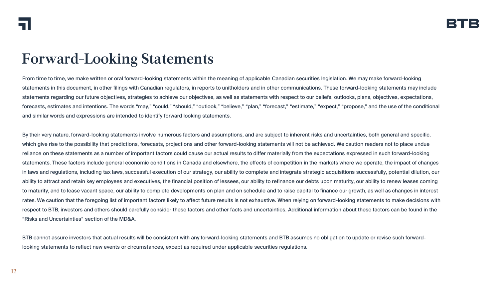#### **Forward-Looking Statements**

From time to time, we make written or oral forward-looking statements within the meaning of applicable Canadian securities legislation. We may make forward-looking statements in this document, in other filings with Canadian regulators, in reports to unitholders and in other communications. These forward-looking statements may include statements regarding our future objectives, strategies to achieve our objectives, as well as statements with respect to our beliefs, outlooks, plans, objectives, expectations, forecasts, estimates and intentions. The words "may," "could," "should," "outlook," "believe," "plan," "forecast," "estimate," "expect," "propose," and the use of the conditional and similar words and expressions are intended to identify forward looking statements.

By their very nature, forward-looking statements involve numerous factors and assumptions, and are subject to inherent risks and uncertainties, both general and specific, which give rise to the possibility that predictions, forecasts, projections and other forward-looking statements will not be achieved. We caution readers not to place undue reliance on these statements as a number of important factors could cause our actual results to differ materially from the expectations expressed in such forward-looking statements. These factors include general economic conditions in Canada and elsewhere, the effects of competition in the markets where we operate, the impact of changes in laws and regulations, including tax laws, successful execution of our strategy, our ability to complete and integrate strategic acquisitions successfully, potential dilution, our ability to attract and retain key employees and executives, the financial position of lessees, our ability to refinance our debts upon maturity, our ability to renew leases coming to maturity, and to lease vacant space, our ability to complete developments on plan and on schedule and to raise capital to finance our growth, as well as changes in interest rates. We caution that the foregoing list of important factors likely to affect future results is not exhaustive. When relying on forward-looking statements to make decisions with respect to BTB, investors and others should carefully consider these factors and other facts and uncertainties. Additional information about these factors can be found in the "Risks and Uncertainties" section of the MD&A.

BTB cannot assure investors that actual results will be consistent with any forward-looking statements and BTB assumes no obligation to update or revise such forwardlooking statements to reflect new events or circumstances, except as required under applicable securities regulations.